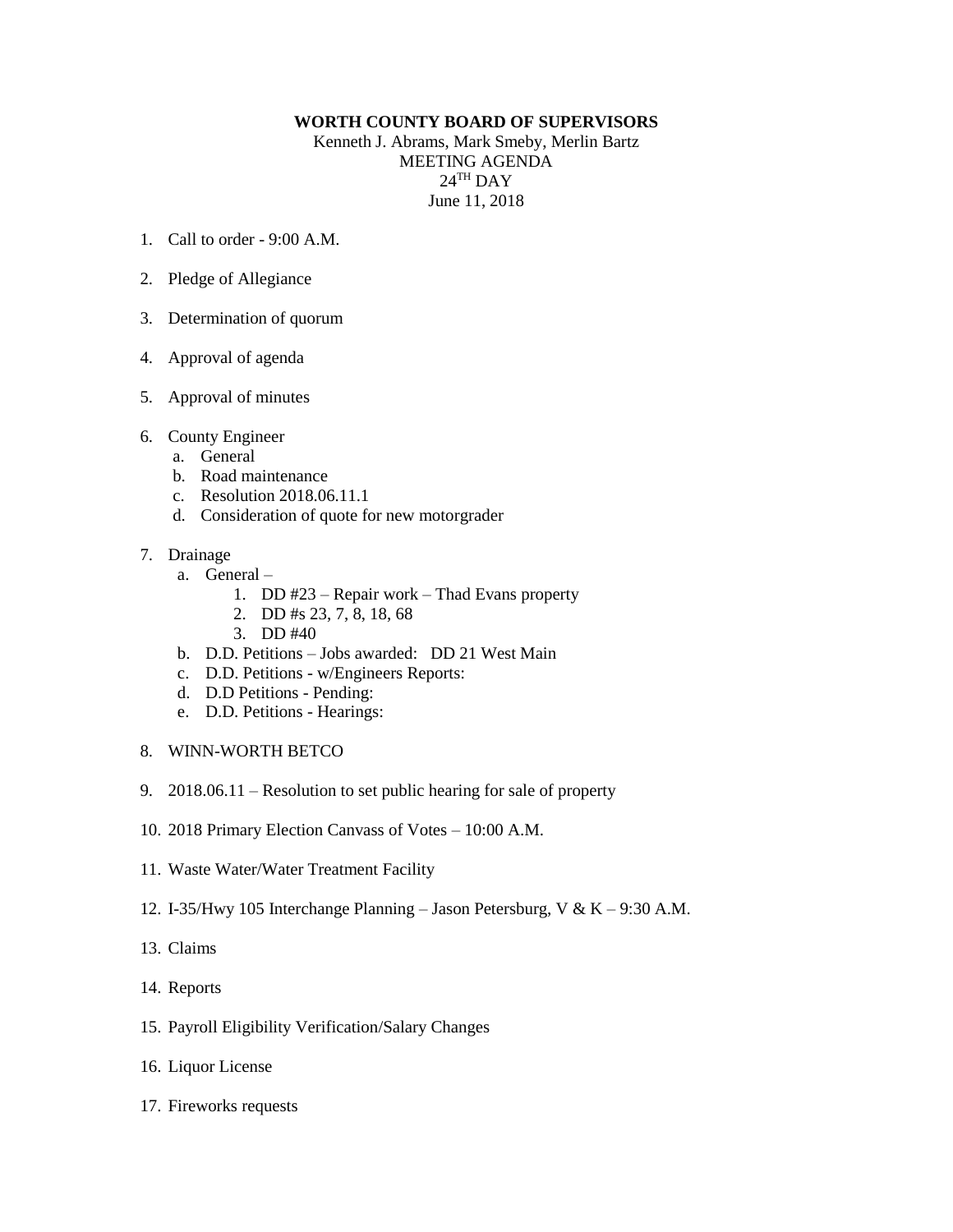## **WORTH COUNTY BOARD OF SUPERVISORS**

Kenneth J. Abrams, Mark Smeby, Merlin Bartz MEETING AGENDA  $24^{\text{TH}}$  DAY June 11, 2018

- 1. Call to order 9:00 A.M.
- 2. Pledge of Allegiance
- 3. Determination of quorum
- 4. Approval of agenda
- 5. Approval of minutes
- 6. County Engineer
	- a. General
	- b. Road maintenance
	- c. Resolution 2018.06.11.1
	- d. Consideration of quote for new motorgrader

## 7. Drainage

- a. General
	- 1. DD #23 Repair work Thad Evans property
	- 2. DD #s 23, 7, 8, 18, 68
	- 3. DD #40
- b. D.D. Petitions Jobs awarded: DD 21 West Main
- c. D.D. Petitions w/Engineers Reports:
- d. D.D Petitions Pending:
- e. D.D. Petitions Hearings:
- 8. WINN-WORTH BETCO
- 9. 2018.06.11 Resolution to set public hearing for sale of property
- 10. 2018 Primary Election Canvass of Votes 10:00 A.M.
- 11. Waste Water/Water Treatment Facility
- 12. I-35/Hwy 105 Interchange Planning Jason Petersburg, V & K 9:30 A.M.
- 13. Claims
- 14. Reports
- 15. Payroll Eligibility Verification/Salary Changes
- 16. Liquor License
- 17. Fireworks requests